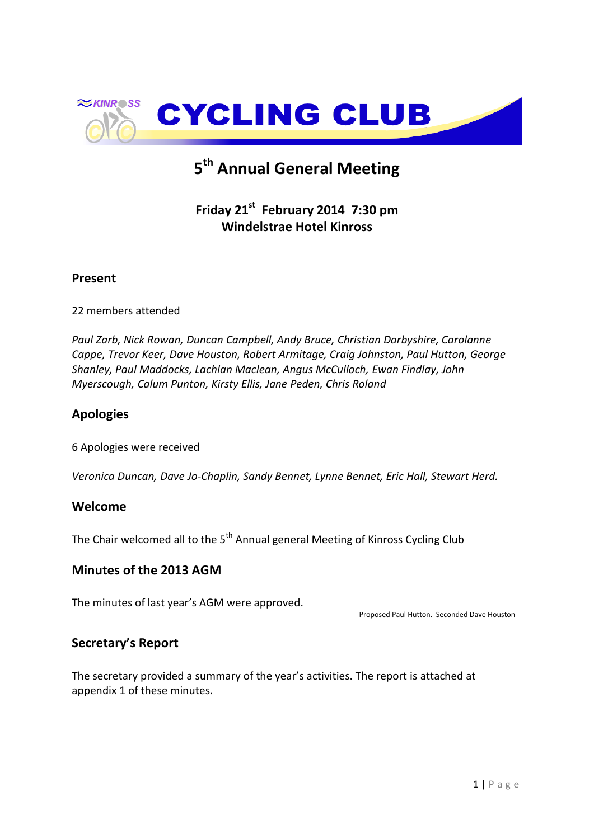

# **5 th Annual General Meeting**

# **Friday 21st February 2014 7:30 pm Windelstrae Hotel Kinross**

# **Present**

22 members attended

*Paul Zarb, Nick Rowan, Duncan Campbell, Andy Bruce, Christian Darbyshire, Carolanne Cappe, Trevor Keer, Dave Houston, Robert Armitage, Craig Johnston, Paul Hutton, George Shanley, Paul Maddocks, Lachlan Maclean, Angus McCulloch, Ewan Findlay, John Myerscough, Calum Punton, Kirsty Ellis, Jane Peden, Chris Roland*

# **Apologies**

6 Apologies were received

*Veronica Duncan, Dave Jo-Chaplin, Sandy Bennet, Lynne Bennet, Eric Hall, Stewart Herd.*

## **Welcome**

The Chair welcomed all to the 5<sup>th</sup> Annual general Meeting of Kinross Cycling Club

## **Minutes of the 2013 AGM**

The minutes of last year's AGM were approved.

Proposed Paul Hutton. Seconded Dave Houston

## **Secretary's Report**

The secretary provided a summary of the year's activities. The report is attached at appendix 1 of these minutes.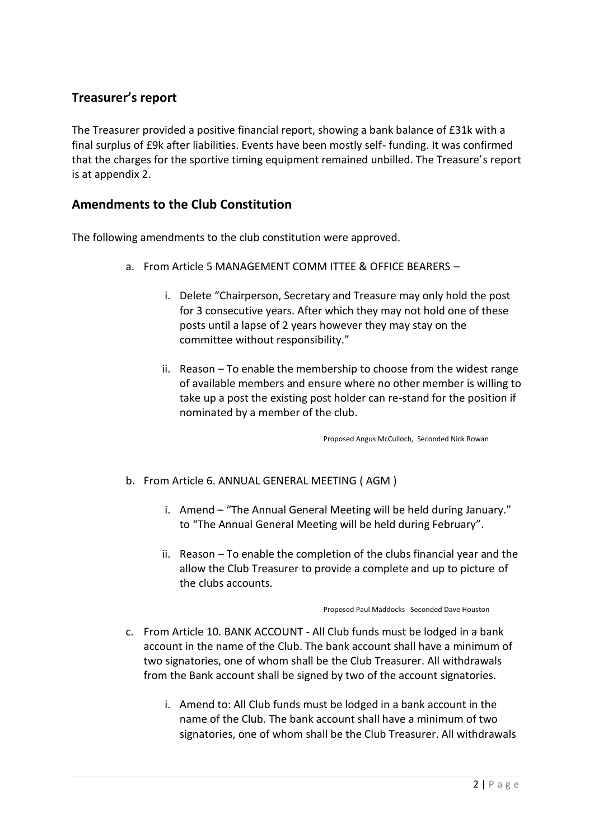# **Treasurer's report**

The Treasurer provided a positive financial report, showing a bank balance of £31k with a final surplus of £9k after liabilities. Events have been mostly self- funding. It was confirmed that the charges for the sportive timing equipment remained unbilled. The Treasure's report is at appendix 2.

# **Amendments to the Club Constitution**

The following amendments to the club constitution were approved.

- a. From Article 5 MANAGEMENT COMM ITTEE & OFFICE BEARERS
	- i. Delete "Chairperson, Secretary and Treasure may only hold the post for 3 consecutive years. After which they may not hold one of these posts until a lapse of 2 years however they may stay on the committee without responsibility."
	- ii. Reason To enable the membership to choose from the widest range of available members and ensure where no other member is willing to take up a post the existing post holder can re-stand for the position if nominated by a member of the club.

Proposed Angus McCulloch, Seconded Nick Rowan

- b. From Article 6. ANNUAL GENERAL MEETING ( AGM )
	- i. Amend "The Annual General Meeting will be held during January." to "The Annual General Meeting will be held during February".
	- ii. Reason To enable the completion of the clubs financial year and the allow the Club Treasurer to provide a complete and up to picture of the clubs accounts.

Proposed Paul Maddocks Seconded Dave Houston

- c. From Article 10. BANK ACCOUNT All Club funds must be lodged in a bank account in the name of the Club. The bank account shall have a minimum of two signatories, one of whom shall be the Club Treasurer. All withdrawals from the Bank account shall be signed by two of the account signatories.
	- i. Amend to: All Club funds must be lodged in a bank account in the name of the Club. The bank account shall have a minimum of two signatories, one of whom shall be the Club Treasurer. All withdrawals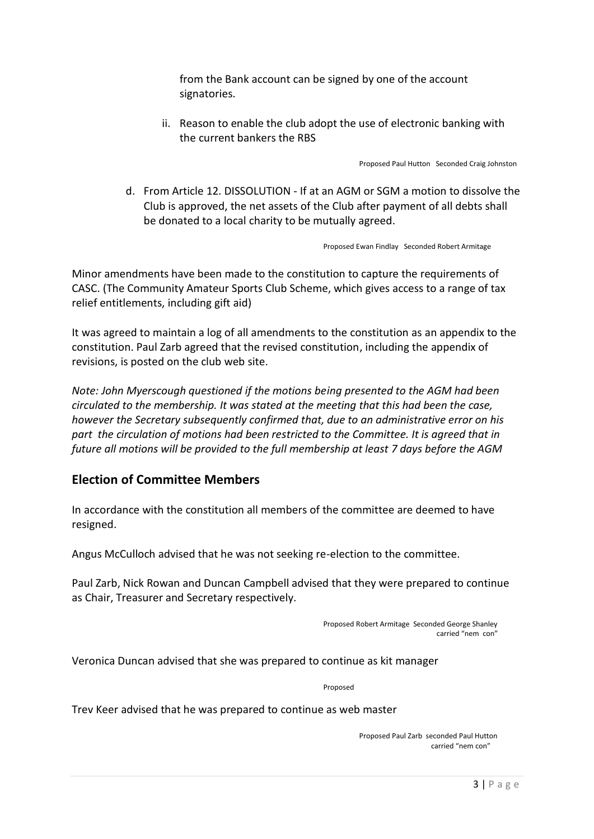from the Bank account can be signed by one of the account signatories.

ii. Reason to enable the club adopt the use of electronic banking with the current bankers the RBS

Proposed Paul Hutton Seconded Craig Johnston

d. From Article 12. DISSOLUTION - If at an AGM or SGM a motion to dissolve the Club is approved, the net assets of the Club after payment of all debts shall be donated to a local charity to be mutually agreed.

Proposed Ewan Findlay Seconded Robert Armitage

Minor amendments have been made to the constitution to capture the requirements of CASC. (The Community Amateur Sports Club Scheme, which gives access to a range of tax relief entitlements, including gift aid)

It was agreed to maintain a log of all amendments to the constitution as an appendix to the constitution. Paul Zarb agreed that the revised constitution, including the appendix of revisions, is posted on the club web site.

*Note: John Myerscough questioned if the motions being presented to the AGM had been circulated to the membership. It was stated at the meeting that this had been the case, however the Secretary subsequently confirmed that, due to an administrative error on his part the circulation of motions had been restricted to the Committee. It is agreed that in future all motions will be provided to the full membership at least 7 days before the AGM*

# **Election of Committee Members**

In accordance with the constitution all members of the committee are deemed to have resigned.

Angus McCulloch advised that he was not seeking re-election to the committee.

Paul Zarb, Nick Rowan and Duncan Campbell advised that they were prepared to continue as Chair, Treasurer and Secretary respectively.

> Proposed Robert Armitage Seconded George Shanley carried "nem con"

Veronica Duncan advised that she was prepared to continue as kit manager

Proposed

Trev Keer advised that he was prepared to continue as web master

Proposed Paul Zarb seconded Paul Hutton carried "nem con"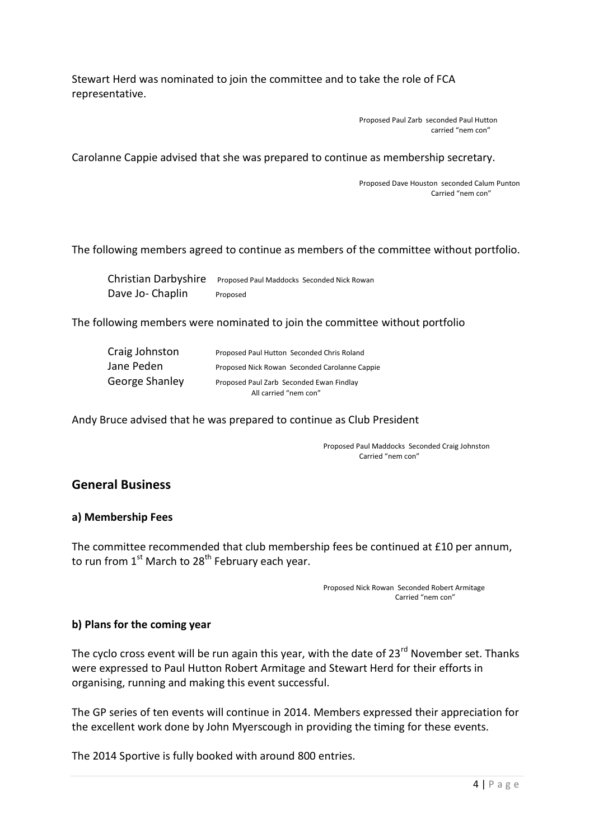Stewart Herd was nominated to join the committee and to take the role of FCA representative.

> Proposed Paul Zarb seconded Paul Hutton carried "nem con"

Carolanne Cappie advised that she was prepared to continue as membership secretary.

Proposed Dave Houston seconded Calum Punton Carried "nem con"

#### The following members agreed to continue as members of the committee without portfolio.

| Christian Darbyshire Proposed Paul Maddocks Seconded Nick Rowan |          |  |
|-----------------------------------------------------------------|----------|--|
| Dave Jo-Chaplin                                                 | Proposed |  |

The following members were nominated to join the committee without portfolio

| Craig Johnston | Proposed Paul Hutton Seconded Chris Roland    |  |
|----------------|-----------------------------------------------|--|
| Jane Peden     | Proposed Nick Rowan Seconded Carolanne Cappie |  |
| George Shanley | Proposed Paul Zarb Seconded Ewan Findlay      |  |
|                | All carried "nem con"                         |  |

Andy Bruce advised that he was prepared to continue as Club President

Proposed Paul Maddocks Seconded Craig Johnston Carried "nem con"

## **General Business**

#### **a) Membership Fees**

The committee recommended that club membership fees be continued at £10 per annum, to run from  $1<sup>st</sup>$  March to 28<sup>th</sup> February each year.

> Proposed Nick Rowan Seconded Robert Armitage Carried "nem con"

### **b) Plans for the coming year**

The cyclo cross event will be run again this year, with the date of 23<sup>rd</sup> November set. Thanks were expressed to Paul Hutton Robert Armitage and Stewart Herd for their efforts in organising, running and making this event successful.

The GP series of ten events will continue in 2014. Members expressed their appreciation for the excellent work done by John Myerscough in providing the timing for these events.

The 2014 Sportive is fully booked with around 800 entries.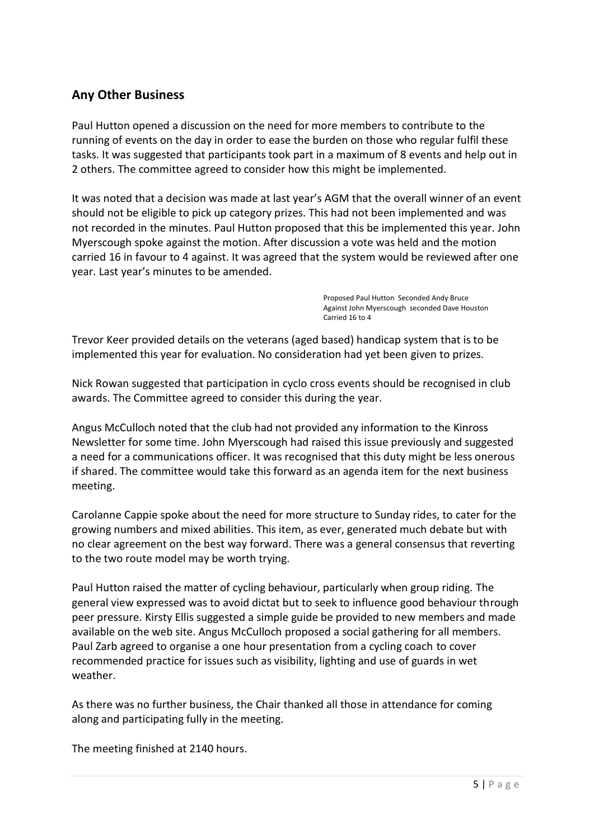# **Any Other Business**

Paul Hutton opened a discussion on the need for more members to contribute to the running of events on the day in order to ease the burden on those who regular fulfil these tasks. It was suggested that participants took part in a maximum of 8 events and help out in 2 others. The committee agreed to consider how this might be implemented.

It was noted that a decision was made at last year's AGM that the overall winner of an event should not be eligible to pick up category prizes. This had not been implemented and was not recorded in the minutes. Paul Hutton proposed that this be implemented this year. John Myerscough spoke against the motion. After discussion a vote was held and the motion carried 16 in favour to 4 against. It was agreed that the system would be reviewed after one year. Last year's minutes to be amended.

> Proposed Paul Hutton Seconded Andy Bruce Against John Myerscough seconded Dave Houston Carried 16 to 4

Trevor Keer provided details on the veterans (aged based) handicap system that is to be implemented this year for evaluation. No consideration had yet been given to prizes.

Nick Rowan suggested that participation in cyclo cross events should be recognised in club awards. The Committee agreed to consider this during the year.

Angus McCulloch noted that the club had not provided any information to the Kinross Newsletter for some time. John Myerscough had raised this issue previously and suggested a need for a communications officer. It was recognised that this duty might be less onerous if shared. The committee would take this forward as an agenda item for the next business meeting.

Carolanne Cappie spoke about the need for more structure to Sunday rides, to cater for the growing numbers and mixed abilities. This item, as ever, generated much debate but with no clear agreement on the best way forward. There was a general consensus that reverting to the two route model may be worth trying.

Paul Hutton raised the matter of cycling behaviour, particularly when group riding. The general view expressed was to avoid dictat but to seek to influence good behaviour through peer pressure. Kirsty Ellis suggested a simple guide be provided to new members and made available on the web site. Angus McCulloch proposed a social gathering for all members. Paul Zarb agreed to organise a one hour presentation from a cycling coach to cover recommended practice for issues such as visibility, lighting and use of guards in wet weather.

As there was no further business, the Chair thanked all those in attendance for coming along and participating fully in the meeting.

The meeting finished at 2140 hours.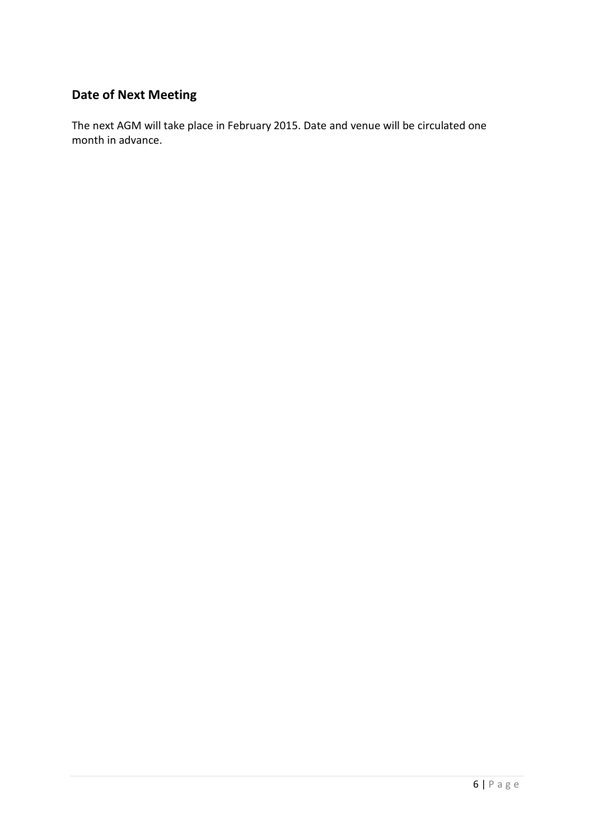# **Date of Next Meeting**

The next AGM will take place in February 2015. Date and venue will be circulated one month in advance.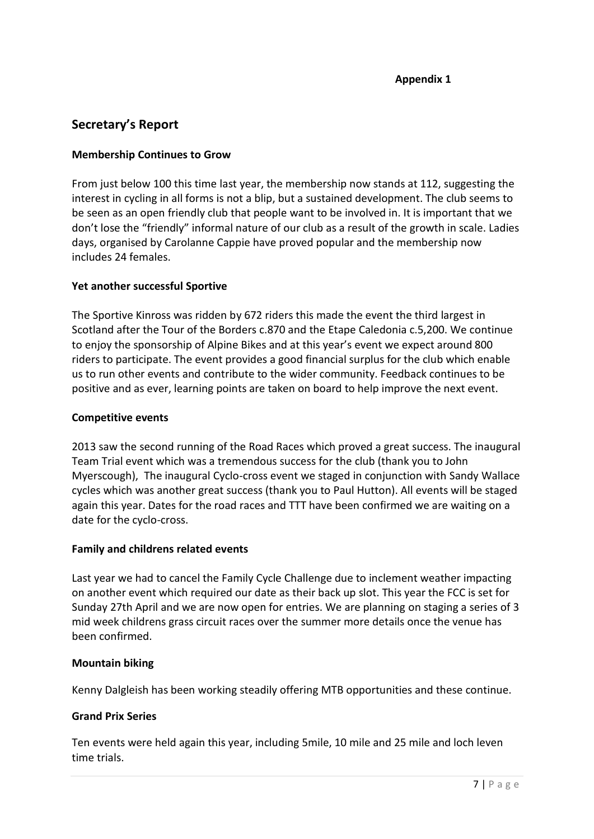# **Secretary's Report**

### **Membership Continues to Grow**

From just below 100 this time last year, the membership now stands at 112, suggesting the interest in cycling in all forms is not a blip, but a sustained development. The club seems to be seen as an open friendly club that people want to be involved in. It is important that we don't lose the "friendly" informal nature of our club as a result of the growth in scale. Ladies days, organised by Carolanne Cappie have proved popular and the membership now includes 24 females.

### **Yet another successful Sportive**

The Sportive Kinross was ridden by 672 riders this made the event the third largest in Scotland after the Tour of the Borders c.870 and the Etape Caledonia c.5,200. We continue to enjoy the sponsorship of Alpine Bikes and at this year's event we expect around 800 riders to participate. The event provides a good financial surplus for the club which enable us to run other events and contribute to the wider community. Feedback continues to be positive and as ever, learning points are taken on board to help improve the next event.

### **Competitive events**

2013 saw the second running of the Road Races which proved a great success. The inaugural Team Trial event which was a tremendous success for the club (thank you to John Myerscough), The inaugural Cyclo-cross event we staged in conjunction with Sandy Wallace cycles which was another great success (thank you to Paul Hutton). All events will be staged again this year. Dates for the road races and TTT have been confirmed we are waiting on a date for the cyclo-cross.

### **Family and childrens related events**

Last year we had to cancel the Family Cycle Challenge due to inclement weather impacting on another event which required our date as their back up slot. This year the FCC is set for Sunday 27th April and we are now open for entries. We are planning on staging a series of 3 mid week childrens grass circuit races over the summer more details once the venue has been confirmed.

### **Mountain biking**

Kenny Dalgleish has been working steadily offering MTB opportunities and these continue.

#### **Grand Prix Series**

Ten events were held again this year, including 5mile, 10 mile and 25 mile and loch leven time trials.